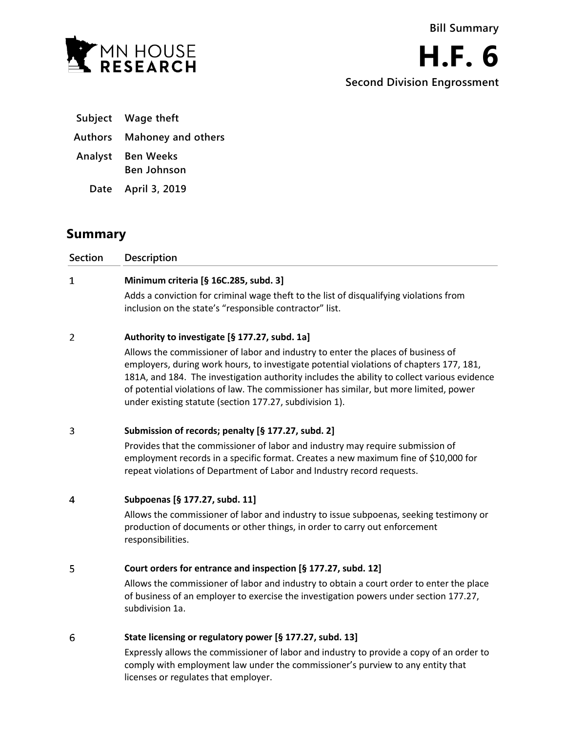



- **Subject Wage theft**
- **Authors Mahoney and others**
- **Analyst Ben Weeks**
	- **Ben Johnson**
	- **Date April 3, 2019**

# **Summary**

| Section | <b>Description</b>                                                                                                                                                              |
|---------|---------------------------------------------------------------------------------------------------------------------------------------------------------------------------------|
| -1      | Minimum criteria [§ 16C.285, subd. 3]                                                                                                                                           |
|         | Adds a conviction for criminal wage theft to the list of disqualifying violations from<br>inclusion on the state's "responsible contractor" list.                               |
| 2       | Authority to investigate [§ 177.27, subd. 1a]                                                                                                                                   |
|         | Allows the commissioner of labor and industry to enter the places of business of<br>a da alama da alama da alama da alama da alama da alama da la bara da Alama da Alama Alondo |

employers, during work hours, to investigate potential violations of chapters 177, 181, 181A, and 184. The investigation authority includes the ability to collect various evidence of potential violations of law. The commissioner has similar, but more limited, power under existing statute (section 177.27, subdivision 1).

### 3 **Submission of records; penalty [§ 177.27, subd. 2]**

Provides that the commissioner of labor and industry may require submission of employment records in a specific format. Creates a new maximum fine of \$10,000 for repeat violations of Department of Labor and Industry record requests.

 $\overline{4}$ **Subpoenas [§ 177.27, subd. 11]**

> Allows the commissioner of labor and industry to issue subpoenas, seeking testimony or production of documents or other things, in order to carry out enforcement responsibilities.

# 5 **Court orders for entrance and inspection [§ 177.27, subd. 12]**

Allows the commissioner of labor and industry to obtain a court order to enter the place of business of an employer to exercise the investigation powers under section 177.27, subdivision 1a.

### 6 **State licensing or regulatory power [§ 177.27, subd. 13]**

Expressly allows the commissioner of labor and industry to provide a copy of an order to comply with employment law under the commissioner's purview to any entity that licenses or regulates that employer.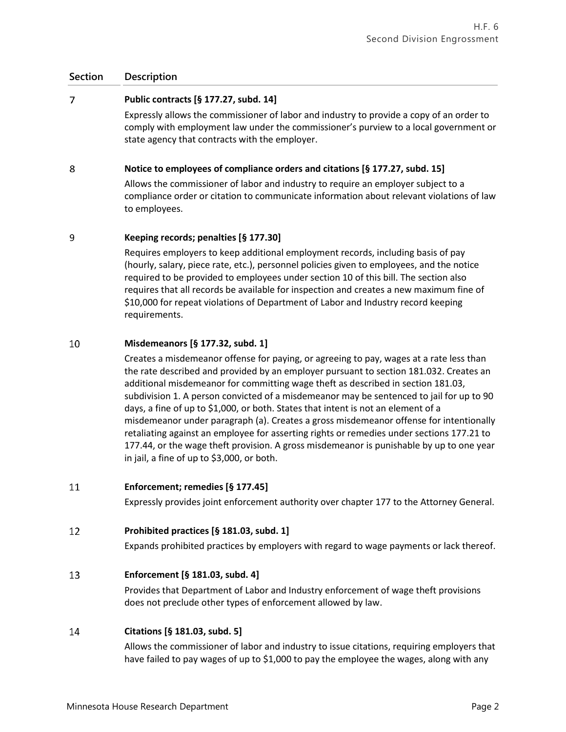# **Section Description**

### $\overline{7}$ **Public contracts [§ 177.27, subd. 14]**

Expressly allows the commissioner of labor and industry to provide a copy of an order to comply with employment law under the commissioner's purview to a local government or state agency that contracts with the employer.

### 8 **Notice to employees of compliance orders and citations [§ 177.27, subd. 15]**

Allows the commissioner of labor and industry to require an employer subject to a compliance order or citation to communicate information about relevant violations of law to employees.

### 9 **Keeping records; penalties [§ 177.30]**

Requires employers to keep additional employment records, including basis of pay (hourly, salary, piece rate, etc.), personnel policies given to employees, and the notice required to be provided to employees under section 10 of this bill. The section also requires that all records be available for inspection and creates a new maximum fine of \$10,000 for repeat violations of Department of Labor and Industry record keeping requirements.

### 10 **Misdemeanors [§ 177.32, subd. 1]**

Creates a misdemeanor offense for paying, or agreeing to pay, wages at a rate less than the rate described and provided by an employer pursuant to section 181.032. Creates an additional misdemeanor for committing wage theft as described in section 181.03, subdivision 1. A person convicted of a misdemeanor may be sentenced to jail for up to 90 days, a fine of up to \$1,000, or both. States that intent is not an element of a misdemeanor under paragraph (a). Creates a gross misdemeanor offense for intentionally retaliating against an employee for asserting rights or remedies under sections 177.21 to 177.44, or the wage theft provision. A gross misdemeanor is punishable by up to one year in jail, a fine of up to \$3,000, or both.

### 11 **Enforcement; remedies [§ 177.45]**

Expressly provides joint enforcement authority over chapter 177 to the Attorney General.

### 12 **Prohibited practices [§ 181.03, subd. 1]**

Expands prohibited practices by employers with regard to wage payments or lack thereof.

### 13 **Enforcement [§ 181.03, subd. 4]**

Provides that Department of Labor and Industry enforcement of wage theft provisions does not preclude other types of enforcement allowed by law.

## 14 **Citations [§ 181.03, subd. 5]**

Allows the commissioner of labor and industry to issue citations, requiring employers that have failed to pay wages of up to \$1,000 to pay the employee the wages, along with any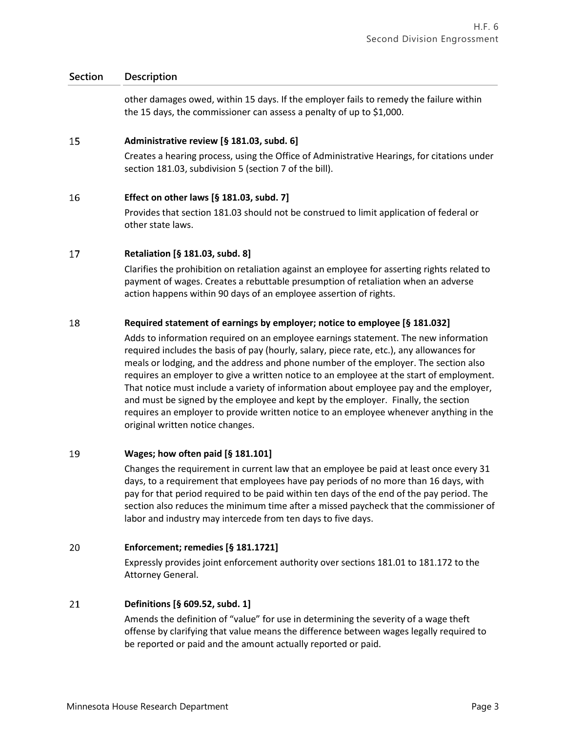# **Section Description**

other damages owed, within 15 days. If the employer fails to remedy the failure within the 15 days, the commissioner can assess a penalty of up to \$1,000.

### 15 **Administrative review [§ 181.03, subd. 6]**

Creates a hearing process, using the Office of Administrative Hearings, for citations under section 181.03, subdivision 5 (section 7 of the bill).

### 16 **Effect on other laws [§ 181.03, subd. 7]**

Provides that section 181.03 should not be construed to limit application of federal or other state laws.

### 17 **Retaliation [§ 181.03, subd. 8]**

Clarifies the prohibition on retaliation against an employee for asserting rights related to payment of wages. Creates a rebuttable presumption of retaliation when an adverse action happens within 90 days of an employee assertion of rights.

### 18 **Required statement of earnings by employer; notice to employee [§ 181.032]**

Adds to information required on an employee earnings statement. The new information required includes the basis of pay (hourly, salary, piece rate, etc.), any allowances for meals or lodging, and the address and phone number of the employer. The section also requires an employer to give a written notice to an employee at the start of employment. That notice must include a variety of information about employee pay and the employer, and must be signed by the employee and kept by the employer. Finally, the section requires an employer to provide written notice to an employee whenever anything in the original written notice changes.

### 19 **Wages; how often paid [§ 181.101]**

Changes the requirement in current law that an employee be paid at least once every 31 days, to a requirement that employees have pay periods of no more than 16 days, with pay for that period required to be paid within ten days of the end of the pay period. The section also reduces the minimum time after a missed paycheck that the commissioner of labor and industry may intercede from ten days to five days.

### 20 **Enforcement; remedies [§ 181.1721]**

Expressly provides joint enforcement authority over sections 181.01 to 181.172 to the Attorney General.

### 21 **Definitions [§ 609.52, subd. 1]**

Amends the definition of "value" for use in determining the severity of a wage theft offense by clarifying that value means the difference between wages legally required to be reported or paid and the amount actually reported or paid.